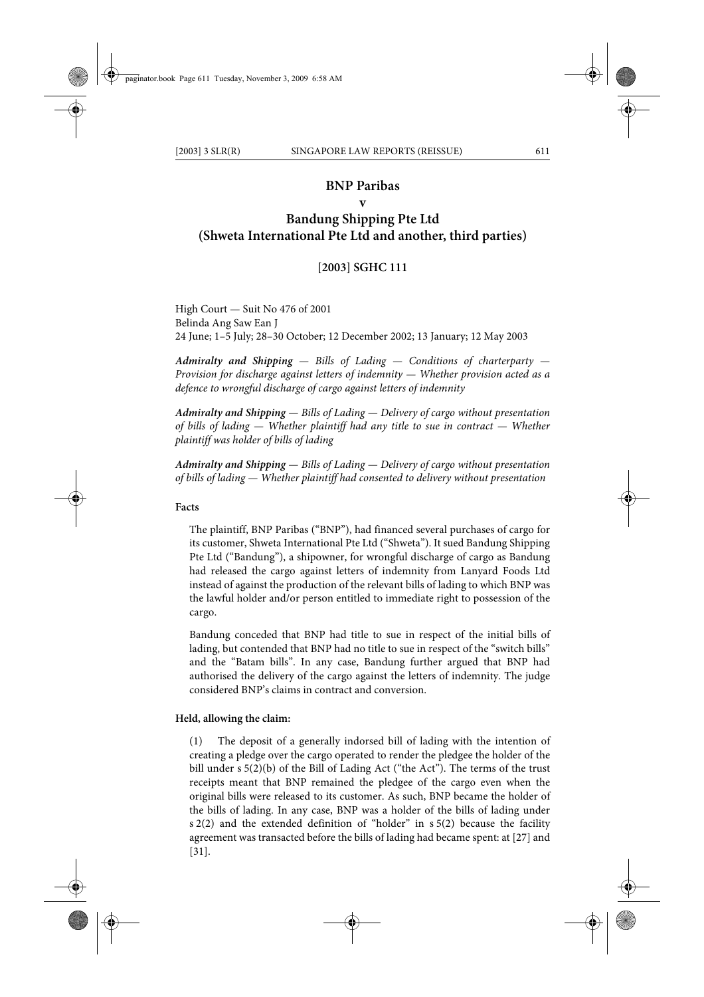### **BNP Paribas**

# **v**

# **Bandung Shipping Pte Ltd (Shweta International Pte Ltd and another, third parties)**

### **[2003] SGHC 111**

High Court — Suit No 476 of 2001 Belinda Ang Saw Ean J 24 June; 1–5 July; 28–30 October; 12 December 2002; 13 January; 12 May 2003

*Admiralty and Shipping — Bills of Lading — Conditions of charterparty — Provision for discharge against letters of indemnity — Whether provision acted as a defence to wrongful discharge of cargo against letters of indemnity*

*Admiralty and Shipping — Bills of Lading — Delivery of cargo without presentation of bills of lading — Whether plaintiff had any title to sue in contract — Whether plaintiff was holder of bills of lading*

*Admiralty and Shipping — Bills of Lading — Delivery of cargo without presentation of bills of lading — Whether plaintiff had consented to delivery without presentation*

#### **Facts**

The plaintiff, BNP Paribas ("BNP"), had financed several purchases of cargo for its customer, Shweta International Pte Ltd ("Shweta"). It sued Bandung Shipping Pte Ltd ("Bandung"), a shipowner, for wrongful discharge of cargo as Bandung had released the cargo against letters of indemnity from Lanyard Foods Ltd instead of against the production of the relevant bills of lading to which BNP was the lawful holder and/or person entitled to immediate right to possession of the cargo.

Bandung conceded that BNP had title to sue in respect of the initial bills of lading, but contended that BNP had no title to sue in respect of the "switch bills" and the "Batam bills". In any case, Bandung further argued that BNP had authorised the delivery of the cargo against the letters of indemnity. The judge considered BNP's claims in contract and conversion.

#### **Held, allowing the claim:**

(1) The deposit of a generally indorsed bill of lading with the intention of creating a pledge over the cargo operated to render the pledgee the holder of the bill under s 5(2)(b) of the Bill of Lading Act ("the Act"). The terms of the trust receipts meant that BNP remained the pledgee of the cargo even when the original bills were released to its customer. As such, BNP became the holder of the bills of lading. In any case, BNP was a holder of the bills of lading under s 2(2) and the extended definition of "holder" in s 5(2) because the facility agreement was transacted before the bills of lading had became spent: at [27] and [31].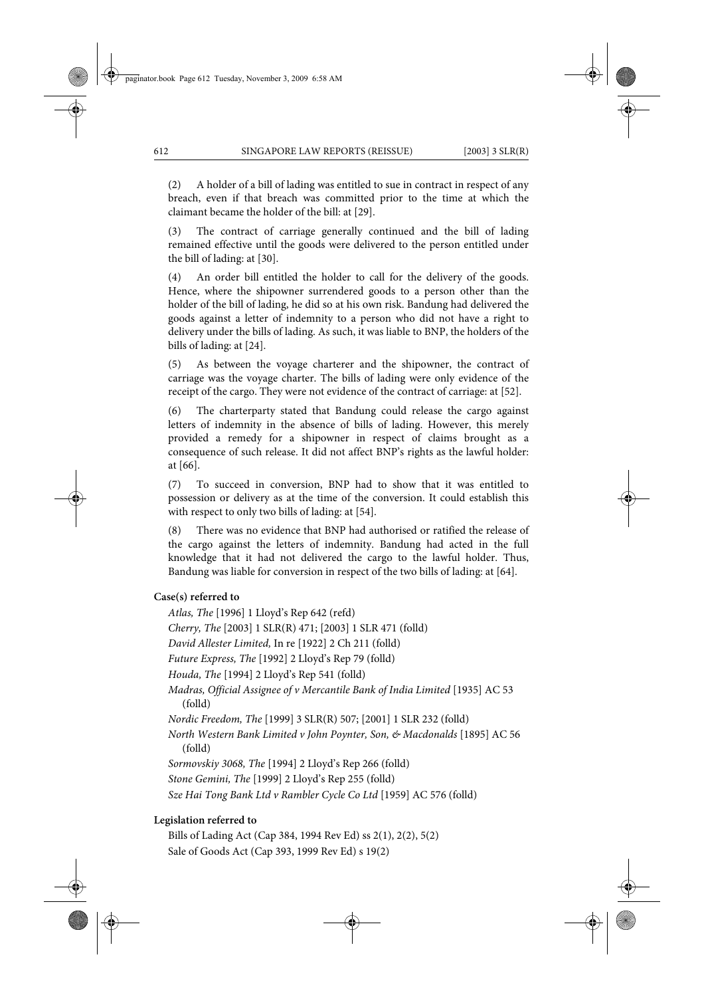(2) A holder of a bill of lading was entitled to sue in contract in respect of any breach, even if that breach was committed prior to the time at which the claimant became the holder of the bill: at [29].

(3) The contract of carriage generally continued and the bill of lading remained effective until the goods were delivered to the person entitled under the bill of lading: at [30].

(4) An order bill entitled the holder to call for the delivery of the goods. Hence, where the shipowner surrendered goods to a person other than the holder of the bill of lading, he did so at his own risk. Bandung had delivered the goods against a letter of indemnity to a person who did not have a right to delivery under the bills of lading. As such, it was liable to BNP, the holders of the bills of lading: at [24].

(5) As between the voyage charterer and the shipowner, the contract of carriage was the voyage charter. The bills of lading were only evidence of the receipt of the cargo. They were not evidence of the contract of carriage: at [52].

(6) The charterparty stated that Bandung could release the cargo against letters of indemnity in the absence of bills of lading. However, this merely provided a remedy for a shipowner in respect of claims brought as a consequence of such release. It did not affect BNP's rights as the lawful holder: at [66].

(7) To succeed in conversion, BNP had to show that it was entitled to possession or delivery as at the time of the conversion. It could establish this with respect to only two bills of lading: at [54].

(8) There was no evidence that BNP had authorised or ratified the release of the cargo against the letters of indemnity. Bandung had acted in the full knowledge that it had not delivered the cargo to the lawful holder. Thus, Bandung was liable for conversion in respect of the two bills of lading: at [64].

### **Case(s) referred to**

*Atlas, The* [1996] 1 Lloyd's Rep 642 (refd) *Cherry, The* [2003] 1 SLR(R) 471; [2003] 1 SLR 471 (folld) *David Allester Limited,* In re [1922] 2 Ch 211 (folld) *Future Express, The* [1992] 2 Lloyd's Rep 79 (folld) *Houda, The* [1994] 2 Lloyd's Rep 541 (folld) *Madras, Official Assignee of v Mercantile Bank of India Limited* [1935] AC 53 (folld) *Nordic Freedom, The* [1999] 3 SLR(R) 507; [2001] 1 SLR 232 (folld) *North Western Bank Limited v John Poynter, Son, & Macdonalds* [1895] AC 56 (folld) *Sormovskiy 3068, The* [1994] 2 Lloyd's Rep 266 (folld) *Stone Gemini, The* [1999] 2 Lloyd's Rep 255 (folld) *Sze Hai Tong Bank Ltd v Rambler Cycle Co Ltd* [1959] AC 576 (folld)

# **Legislation referred to**

Bills of Lading Act (Cap 384, 1994 Rev Ed) ss 2(1), 2(2), 5(2) Sale of Goods Act (Cap 393, 1999 Rev Ed) s 19(2)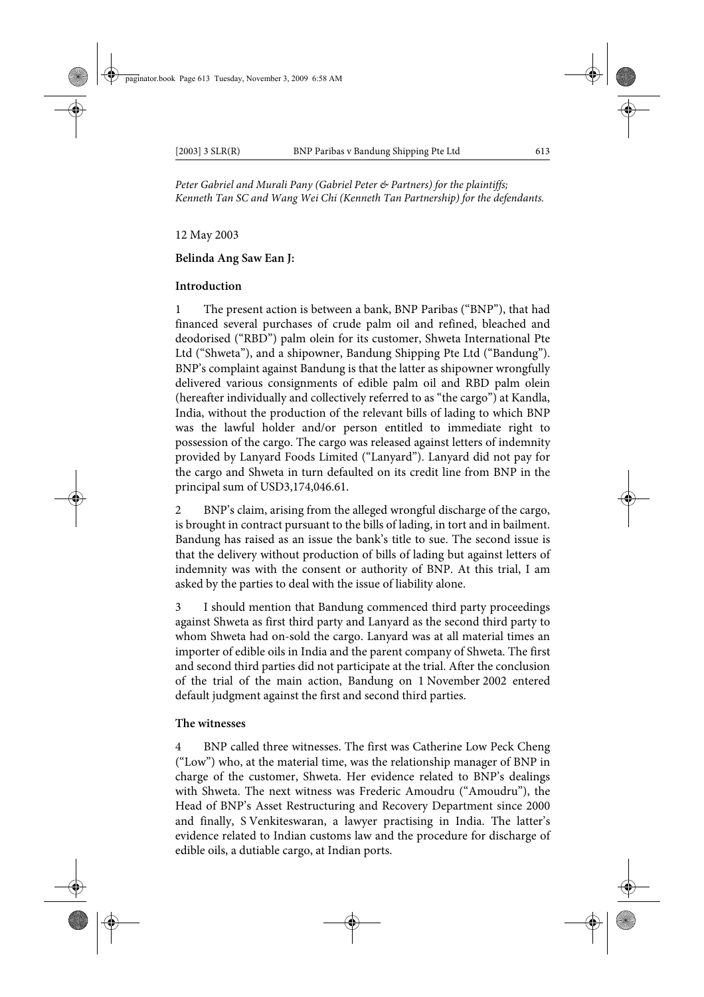*Peter Gabriel and Murali Pany (Gabriel Peter & Partners) for the plaintiffs; Kenneth Tan SC and Wang Wei Chi (Kenneth Tan Partnership) for the defendants.*

# 12 May 2003

# **Belinda Ang Saw Ean J:**

### **Introduction**

1 The present action is between a bank, BNP Paribas ("BNP"), that had financed several purchases of crude palm oil and refined, bleached and deodorised ("RBD") palm olein for its customer, Shweta International Pte Ltd ("Shweta"), and a shipowner, Bandung Shipping Pte Ltd ("Bandung"). BNP's complaint against Bandung is that the latter as shipowner wrongfully delivered various consignments of edible palm oil and RBD palm olein (hereafter individually and collectively referred to as "the cargo") at Kandla, India, without the production of the relevant bills of lading to which BNP was the lawful holder and/or person entitled to immediate right to possession of the cargo. The cargo was released against letters of indemnity provided by Lanyard Foods Limited ("Lanyard"). Lanyard did not pay for the cargo and Shweta in turn defaulted on its credit line from BNP in the principal sum of USD3,174,046.61.

2 BNP's claim, arising from the alleged wrongful discharge of the cargo, is brought in contract pursuant to the bills of lading, in tort and in bailment. Bandung has raised as an issue the bank's title to sue. The second issue is that the delivery without production of bills of lading but against letters of indemnity was with the consent or authority of BNP. At this trial, I am asked by the parties to deal with the issue of liability alone.

3 I should mention that Bandung commenced third party proceedings against Shweta as first third party and Lanyard as the second third party to whom Shweta had on-sold the cargo. Lanyard was at all material times an importer of edible oils in India and the parent company of Shweta. The first and second third parties did not participate at the trial. After the conclusion of the trial of the main action, Bandung on 1 November 2002 entered default judgment against the first and second third parties.

### **The witnesses**

4 BNP called three witnesses. The first was Catherine Low Peck Cheng ("Low") who, at the material time, was the relationship manager of BNP in charge of the customer, Shweta. Her evidence related to BNP's dealings with Shweta. The next witness was Frederic Amoudru ("Amoudru"), the Head of BNP's Asset Restructuring and Recovery Department since 2000 and finally, S Venkiteswaran, a lawyer practising in India. The latter's evidence related to Indian customs law and the procedure for discharge of edible oils, a dutiable cargo, at Indian ports.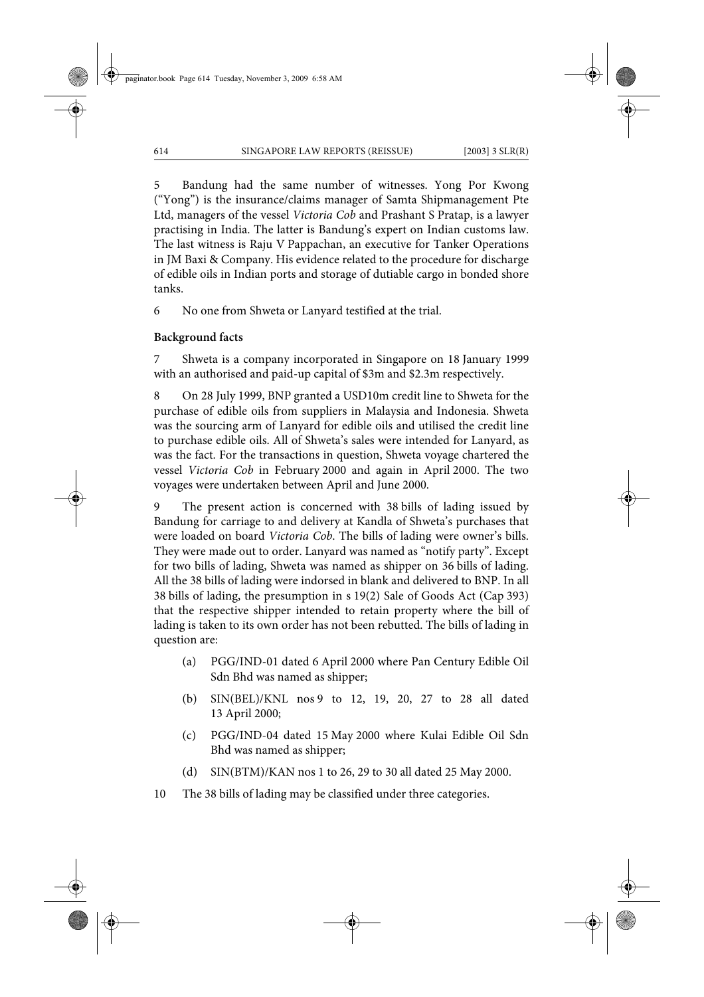5 Bandung had the same number of witnesses. Yong Por Kwong ("Yong") is the insurance/claims manager of Samta Shipmanagement Pte Ltd, managers of the vessel *Victoria Cob* and Prashant S Pratap, is a lawyer practising in India. The latter is Bandung's expert on Indian customs law. The last witness is Raju V Pappachan, an executive for Tanker Operations in JM Baxi & Company. His evidence related to the procedure for discharge of edible oils in Indian ports and storage of dutiable cargo in bonded shore tanks.

6 No one from Shweta or Lanyard testified at the trial.

### **Background facts**

7 Shweta is a company incorporated in Singapore on 18 January 1999 with an authorised and paid-up capital of \$3m and \$2.3m respectively.

8 On 28 July 1999, BNP granted a USD10m credit line to Shweta for the purchase of edible oils from suppliers in Malaysia and Indonesia. Shweta was the sourcing arm of Lanyard for edible oils and utilised the credit line to purchase edible oils. All of Shweta's sales were intended for Lanyard, as was the fact. For the transactions in question, Shweta voyage chartered the vessel *Victoria Cob* in February 2000 and again in April 2000. The two voyages were undertaken between April and June 2000.

9 The present action is concerned with 38 bills of lading issued by Bandung for carriage to and delivery at Kandla of Shweta's purchases that were loaded on board *Victoria Cob*. The bills of lading were owner's bills. They were made out to order. Lanyard was named as "notify party". Except for two bills of lading, Shweta was named as shipper on 36 bills of lading. All the 38 bills of lading were indorsed in blank and delivered to BNP. In all 38 bills of lading, the presumption in s 19(2) Sale of Goods Act (Cap 393) that the respective shipper intended to retain property where the bill of lading is taken to its own order has not been rebutted. The bills of lading in question are:

- (a) PGG/IND-01 dated 6 April 2000 where Pan Century Edible Oil Sdn Bhd was named as shipper;
- (b) SIN(BEL)/KNL nos 9 to 12, 19, 20, 27 to 28 all dated 13 April 2000;
- (c) PGG/IND-04 dated 15 May 2000 where Kulai Edible Oil Sdn Bhd was named as shipper;
- (d) SIN(BTM)/KAN nos 1 to 26, 29 to 30 all dated 25 May 2000.
- 10 The 38 bills of lading may be classified under three categories.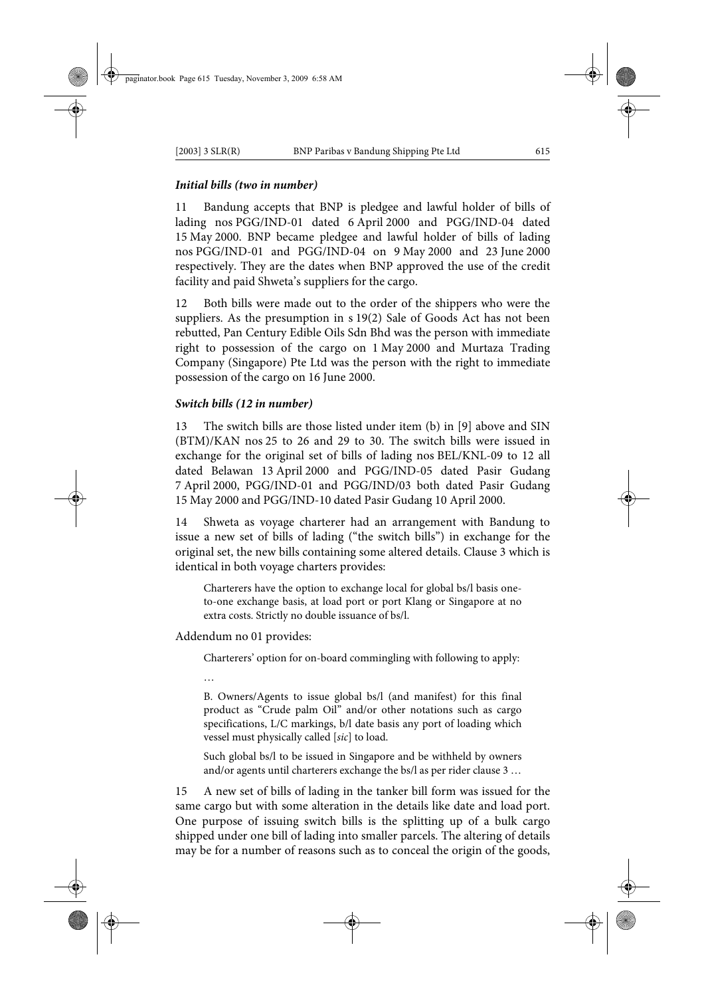# *Initial bills (two in number)*

11 Bandung accepts that BNP is pledgee and lawful holder of bills of lading nos PGG/IND-01 dated 6 April 2000 and PGG/IND-04 dated 15 May 2000. BNP became pledgee and lawful holder of bills of lading nos PGG/IND-01 and PGG/IND-04 on 9 May 2000 and 23 June 2000 respectively. They are the dates when BNP approved the use of the credit facility and paid Shweta's suppliers for the cargo.

12 Both bills were made out to the order of the shippers who were the suppliers. As the presumption in s 19(2) Sale of Goods Act has not been rebutted, Pan Century Edible Oils Sdn Bhd was the person with immediate right to possession of the cargo on 1 May 2000 and Murtaza Trading Company (Singapore) Pte Ltd was the person with the right to immediate possession of the cargo on 16 June 2000.

# *Switch bills (12 in number)*

13 The switch bills are those listed under item (b) in [9] above and SIN (BTM)/KAN nos 25 to 26 and 29 to 30. The switch bills were issued in exchange for the original set of bills of lading nos BEL/KNL-09 to 12 all dated Belawan 13 April 2000 and PGG/IND-05 dated Pasir Gudang 7 April 2000, PGG/IND-01 and PGG/IND/03 both dated Pasir Gudang 15 May 2000 and PGG/IND-10 dated Pasir Gudang 10 April 2000.

14 Shweta as voyage charterer had an arrangement with Bandung to issue a new set of bills of lading ("the switch bills") in exchange for the original set, the new bills containing some altered details. Clause 3 which is identical in both voyage charters provides:

Charterers have the option to exchange local for global bs/l basis oneto-one exchange basis, at load port or port Klang or Singapore at no extra costs. Strictly no double issuance of bs/l.

Addendum no 01 provides:

Charterers' option for on-board commingling with following to apply:

B. Owners/Agents to issue global bs/l (and manifest) for this final product as "Crude palm Oil" and/or other notations such as cargo specifications, L/C markings, b/l date basis any port of loading which vessel must physically called [*sic*] to load.

Such global bs/l to be issued in Singapore and be withheld by owners and/or agents until charterers exchange the bs/l as per rider clause 3 …

15 A new set of bills of lading in the tanker bill form was issued for the same cargo but with some alteration in the details like date and load port. One purpose of issuing switch bills is the splitting up of a bulk cargo shipped under one bill of lading into smaller parcels. The altering of details may be for a number of reasons such as to conceal the origin of the goods,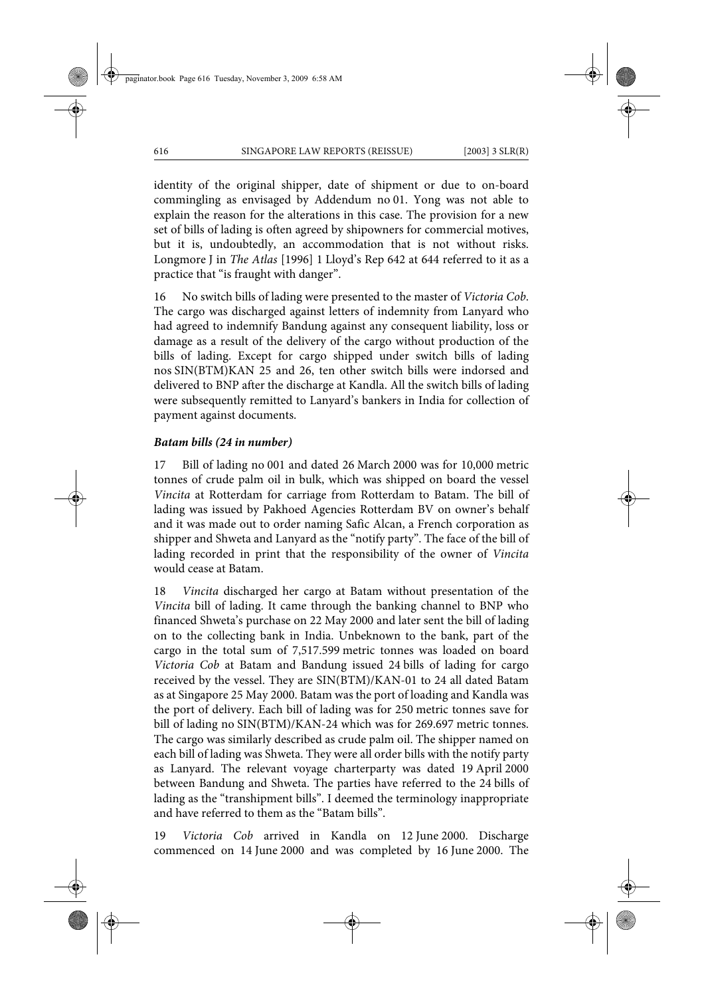identity of the original shipper, date of shipment or due to on-board commingling as envisaged by Addendum no 01. Yong was not able to explain the reason for the alterations in this case. The provision for a new set of bills of lading is often agreed by shipowners for commercial motives, but it is, undoubtedly, an accommodation that is not without risks. Longmore J in *The Atlas* [1996] 1 Lloyd's Rep 642 at 644 referred to it as a practice that "is fraught with danger".

16 No switch bills of lading were presented to the master of *Victoria Cob*. The cargo was discharged against letters of indemnity from Lanyard who had agreed to indemnify Bandung against any consequent liability, loss or damage as a result of the delivery of the cargo without production of the bills of lading. Except for cargo shipped under switch bills of lading nos SIN(BTM)KAN 25 and 26, ten other switch bills were indorsed and delivered to BNP after the discharge at Kandla. All the switch bills of lading were subsequently remitted to Lanyard's bankers in India for collection of payment against documents.

### *Batam bills (24 in number)*

17 Bill of lading no 001 and dated 26 March 2000 was for 10,000 metric tonnes of crude palm oil in bulk, which was shipped on board the vessel *Vincita* at Rotterdam for carriage from Rotterdam to Batam. The bill of lading was issued by Pakhoed Agencies Rotterdam BV on owner's behalf and it was made out to order naming Safic Alcan, a French corporation as shipper and Shweta and Lanyard as the "notify party". The face of the bill of lading recorded in print that the responsibility of the owner of *Vincita* would cease at Batam.

18 *Vincita* discharged her cargo at Batam without presentation of the *Vincita* bill of lading. It came through the banking channel to BNP who financed Shweta's purchase on 22 May 2000 and later sent the bill of lading on to the collecting bank in India. Unbeknown to the bank, part of the cargo in the total sum of 7,517.599 metric tonnes was loaded on board *Victoria Cob* at Batam and Bandung issued 24 bills of lading for cargo received by the vessel. They are SIN(BTM)/KAN-01 to 24 all dated Batam as at Singapore 25 May 2000. Batam was the port of loading and Kandla was the port of delivery. Each bill of lading was for 250 metric tonnes save for bill of lading no SIN(BTM)/KAN-24 which was for 269.697 metric tonnes. The cargo was similarly described as crude palm oil. The shipper named on each bill of lading was Shweta. They were all order bills with the notify party as Lanyard. The relevant voyage charterparty was dated 19 April 2000 between Bandung and Shweta. The parties have referred to the 24 bills of lading as the "transhipment bills". I deemed the terminology inappropriate and have referred to them as the "Batam bills".

19 *Victoria Cob* arrived in Kandla on 12 June 2000. Discharge commenced on 14 June 2000 and was completed by 16 June 2000. The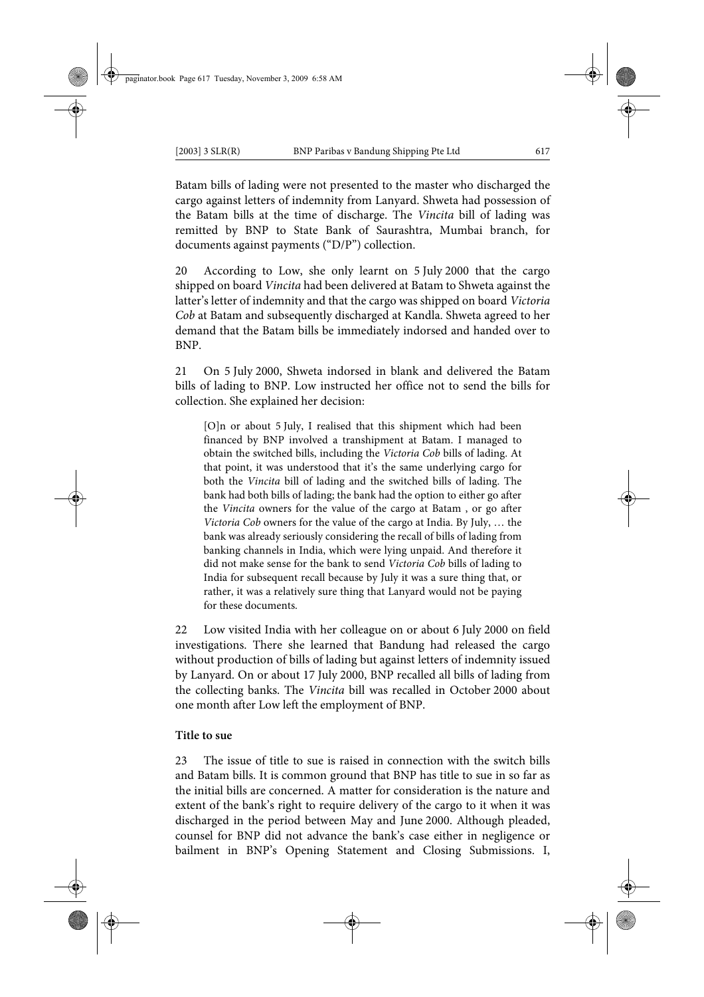Batam bills of lading were not presented to the master who discharged the cargo against letters of indemnity from Lanyard. Shweta had possession of the Batam bills at the time of discharge. The *Vincita* bill of lading was remitted by BNP to State Bank of Saurashtra, Mumbai branch, for documents against payments ("D/P") collection.

20 According to Low, she only learnt on 5 July 2000 that the cargo shipped on board *Vincita* had been delivered at Batam to Shweta against the latter's letter of indemnity and that the cargo was shipped on board *Victoria Cob* at Batam and subsequently discharged at Kandla. Shweta agreed to her demand that the Batam bills be immediately indorsed and handed over to BNP.

21 On 5 July 2000, Shweta indorsed in blank and delivered the Batam bills of lading to BNP. Low instructed her office not to send the bills for collection. She explained her decision:

[O]n or about 5 July, I realised that this shipment which had been financed by BNP involved a transhipment at Batam. I managed to obtain the switched bills, including the *Victoria Cob* bills of lading. At that point, it was understood that it's the same underlying cargo for both the *Vincita* bill of lading and the switched bills of lading. The bank had both bills of lading; the bank had the option to either go after the *Vincita* owners for the value of the cargo at Batam , or go after *Victoria Cob* owners for the value of the cargo at India. By July, … the bank was already seriously considering the recall of bills of lading from banking channels in India, which were lying unpaid. And therefore it did not make sense for the bank to send *Victoria Cob* bills of lading to India for subsequent recall because by July it was a sure thing that, or rather, it was a relatively sure thing that Lanyard would not be paying for these documents.

22 Low visited India with her colleague on or about 6 July 2000 on field investigations. There she learned that Bandung had released the cargo without production of bills of lading but against letters of indemnity issued by Lanyard. On or about 17 July 2000, BNP recalled all bills of lading from the collecting banks. The *Vincita* bill was recalled in October 2000 about one month after Low left the employment of BNP.

### **Title to sue**

23 The issue of title to sue is raised in connection with the switch bills and Batam bills. It is common ground that BNP has title to sue in so far as the initial bills are concerned. A matter for consideration is the nature and extent of the bank's right to require delivery of the cargo to it when it was discharged in the period between May and June 2000. Although pleaded, counsel for BNP did not advance the bank's case either in negligence or bailment in BNP's Opening Statement and Closing Submissions. I,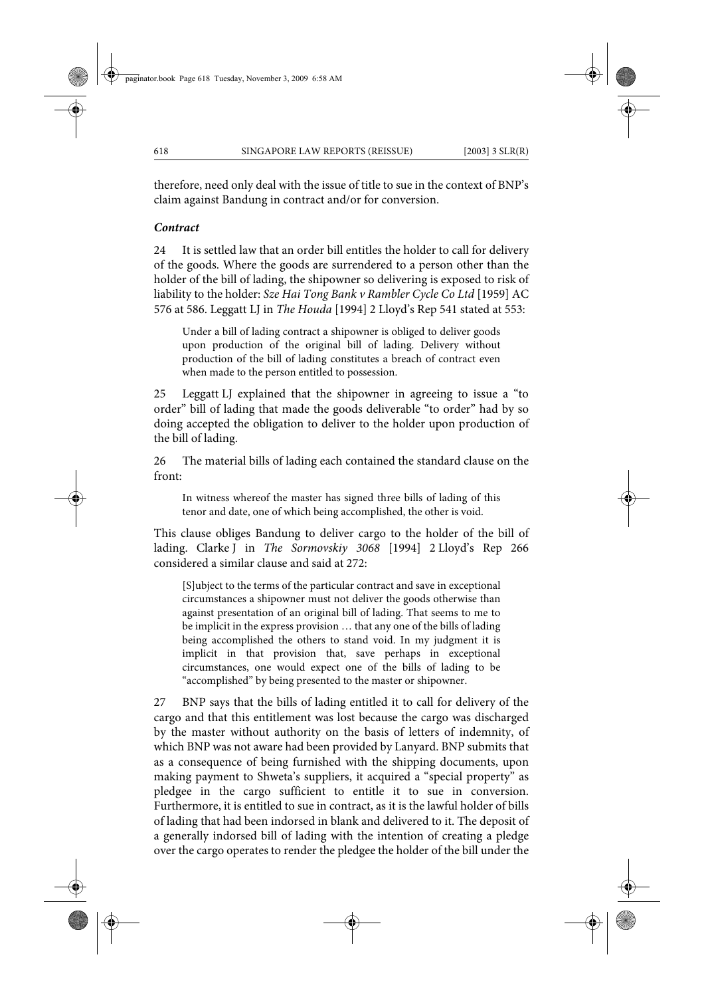therefore, need only deal with the issue of title to sue in the context of BNP's claim against Bandung in contract and/or for conversion.

### *Contract*

24 It is settled law that an order bill entitles the holder to call for delivery of the goods. Where the goods are surrendered to a person other than the holder of the bill of lading, the shipowner so delivering is exposed to risk of liability to the holder: *Sze Hai Tong Bank v Rambler Cycle Co Ltd* [1959] AC 576 at 586. Leggatt LJ in *The Houda* [1994] 2 Lloyd's Rep 541 stated at 553:

Under a bill of lading contract a shipowner is obliged to deliver goods upon production of the original bill of lading. Delivery without production of the bill of lading constitutes a breach of contract even when made to the person entitled to possession.

25 Leggatt LJ explained that the shipowner in agreeing to issue a "to order" bill of lading that made the goods deliverable "to order" had by so doing accepted the obligation to deliver to the holder upon production of the bill of lading.

26 The material bills of lading each contained the standard clause on the front:

In witness whereof the master has signed three bills of lading of this tenor and date, one of which being accomplished, the other is void.

This clause obliges Bandung to deliver cargo to the holder of the bill of lading. Clarke J in *The Sormovskiy 3068* [1994] 2 Lloyd's Rep 266 considered a similar clause and said at 272:

[S]ubject to the terms of the particular contract and save in exceptional circumstances a shipowner must not deliver the goods otherwise than against presentation of an original bill of lading. That seems to me to be implicit in the express provision … that any one of the bills of lading being accomplished the others to stand void. In my judgment it is implicit in that provision that, save perhaps in exceptional circumstances, one would expect one of the bills of lading to be "accomplished" by being presented to the master or shipowner.

27 BNP says that the bills of lading entitled it to call for delivery of the cargo and that this entitlement was lost because the cargo was discharged by the master without authority on the basis of letters of indemnity, of which BNP was not aware had been provided by Lanyard. BNP submits that as a consequence of being furnished with the shipping documents, upon making payment to Shweta's suppliers, it acquired a "special property" as pledgee in the cargo sufficient to entitle it to sue in conversion. Furthermore, it is entitled to sue in contract, as it is the lawful holder of bills of lading that had been indorsed in blank and delivered to it. The deposit of a generally indorsed bill of lading with the intention of creating a pledge over the cargo operates to render the pledgee the holder of the bill under the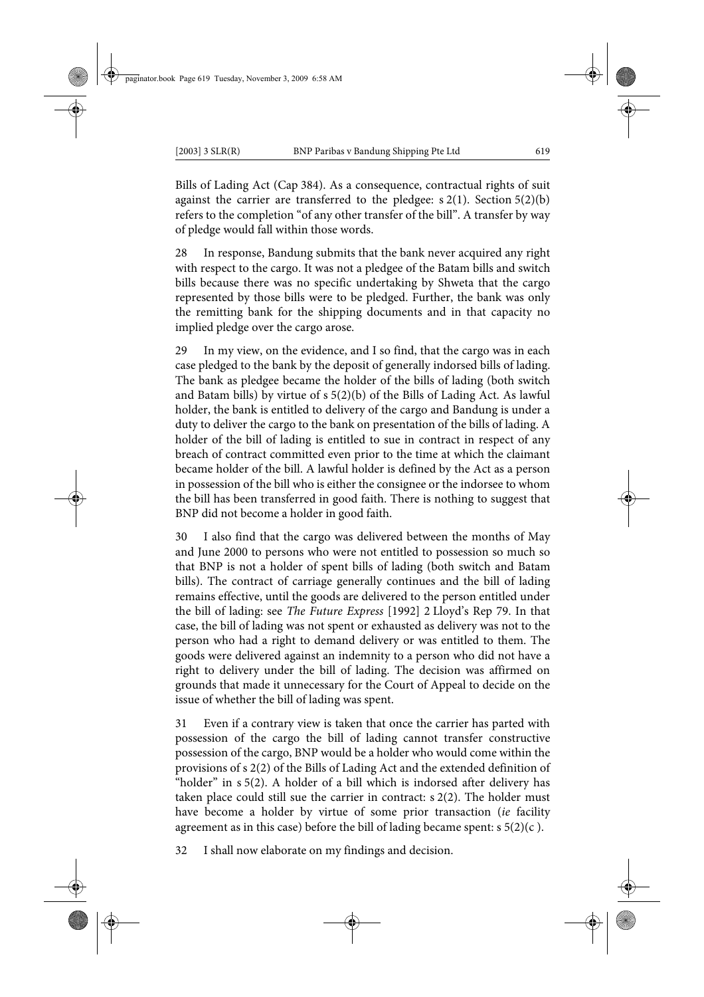Bills of Lading Act (Cap 384). As a consequence, contractual rights of suit against the carrier are transferred to the pledgee:  $s(2(1))$ . Section 5(2)(b) refers to the completion "of any other transfer of the bill". A transfer by way of pledge would fall within those words.

28 In response, Bandung submits that the bank never acquired any right with respect to the cargo. It was not a pledgee of the Batam bills and switch bills because there was no specific undertaking by Shweta that the cargo represented by those bills were to be pledged. Further, the bank was only the remitting bank for the shipping documents and in that capacity no implied pledge over the cargo arose.

29 In my view, on the evidence, and I so find, that the cargo was in each case pledged to the bank by the deposit of generally indorsed bills of lading. The bank as pledgee became the holder of the bills of lading (both switch and Batam bills) by virtue of s 5(2)(b) of the Bills of Lading Act. As lawful holder, the bank is entitled to delivery of the cargo and Bandung is under a duty to deliver the cargo to the bank on presentation of the bills of lading. A holder of the bill of lading is entitled to sue in contract in respect of any breach of contract committed even prior to the time at which the claimant became holder of the bill. A lawful holder is defined by the Act as a person in possession of the bill who is either the consignee or the indorsee to whom the bill has been transferred in good faith. There is nothing to suggest that BNP did not become a holder in good faith.

30 I also find that the cargo was delivered between the months of May and June 2000 to persons who were not entitled to possession so much so that BNP is not a holder of spent bills of lading (both switch and Batam bills). The contract of carriage generally continues and the bill of lading remains effective, until the goods are delivered to the person entitled under the bill of lading: see *The Future Express* [1992] 2 Lloyd's Rep 79. In that case, the bill of lading was not spent or exhausted as delivery was not to the person who had a right to demand delivery or was entitled to them. The goods were delivered against an indemnity to a person who did not have a right to delivery under the bill of lading. The decision was affirmed on grounds that made it unnecessary for the Court of Appeal to decide on the issue of whether the bill of lading was spent.

31 Even if a contrary view is taken that once the carrier has parted with possession of the cargo the bill of lading cannot transfer constructive possession of the cargo, BNP would be a holder who would come within the provisions of s 2(2) of the Bills of Lading Act and the extended definition of "holder" in s 5(2). A holder of a bill which is indorsed after delivery has taken place could still sue the carrier in contract: s 2(2). The holder must have become a holder by virtue of some prior transaction (*ie* facility agreement as in this case) before the bill of lading became spent:  $s \frac{5(2)}{c}$ .

32 I shall now elaborate on my findings and decision.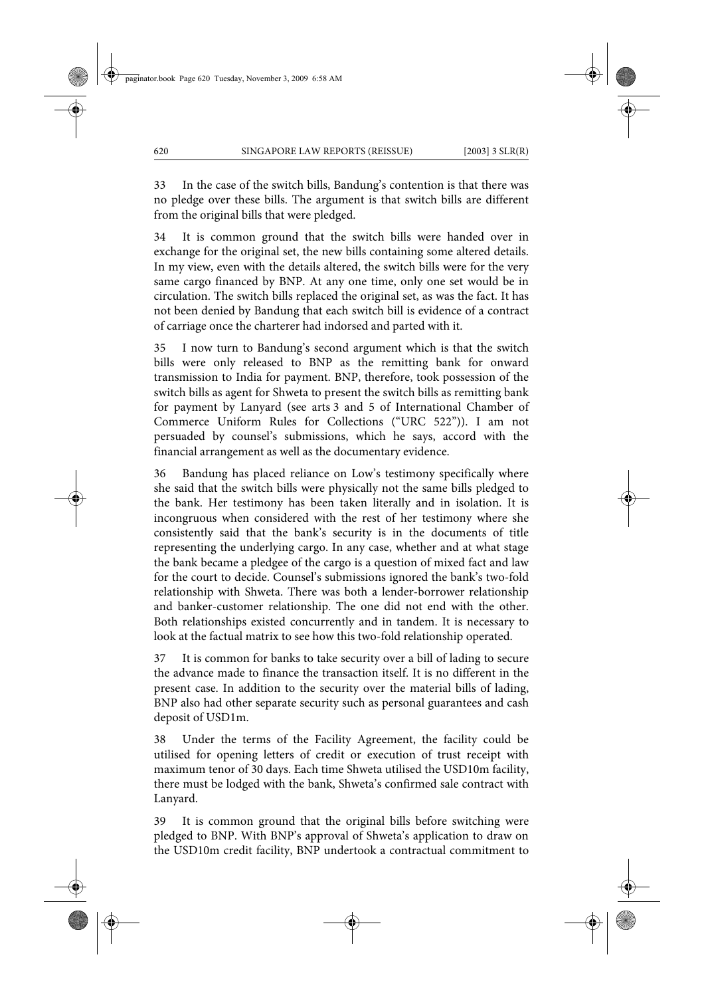33 In the case of the switch bills, Bandung's contention is that there was no pledge over these bills. The argument is that switch bills are different from the original bills that were pledged.

34 It is common ground that the switch bills were handed over in exchange for the original set, the new bills containing some altered details. In my view, even with the details altered, the switch bills were for the very same cargo financed by BNP. At any one time, only one set would be in circulation. The switch bills replaced the original set, as was the fact. It has not been denied by Bandung that each switch bill is evidence of a contract of carriage once the charterer had indorsed and parted with it.

35 I now turn to Bandung's second argument which is that the switch bills were only released to BNP as the remitting bank for onward transmission to India for payment. BNP, therefore, took possession of the switch bills as agent for Shweta to present the switch bills as remitting bank for payment by Lanyard (see arts 3 and 5 of International Chamber of Commerce Uniform Rules for Collections ("URC 522")). I am not persuaded by counsel's submissions, which he says, accord with the financial arrangement as well as the documentary evidence.

36 Bandung has placed reliance on Low's testimony specifically where she said that the switch bills were physically not the same bills pledged to the bank. Her testimony has been taken literally and in isolation. It is incongruous when considered with the rest of her testimony where she consistently said that the bank's security is in the documents of title representing the underlying cargo. In any case, whether and at what stage the bank became a pledgee of the cargo is a question of mixed fact and law for the court to decide. Counsel's submissions ignored the bank's two-fold relationship with Shweta. There was both a lender-borrower relationship and banker-customer relationship. The one did not end with the other. Both relationships existed concurrently and in tandem. It is necessary to look at the factual matrix to see how this two-fold relationship operated.

37 It is common for banks to take security over a bill of lading to secure the advance made to finance the transaction itself. It is no different in the present case. In addition to the security over the material bills of lading, BNP also had other separate security such as personal guarantees and cash deposit of USD1m.

38 Under the terms of the Facility Agreement, the facility could be utilised for opening letters of credit or execution of trust receipt with maximum tenor of 30 days. Each time Shweta utilised the USD10m facility, there must be lodged with the bank, Shweta's confirmed sale contract with Lanyard.

39 It is common ground that the original bills before switching were pledged to BNP. With BNP's approval of Shweta's application to draw on the USD10m credit facility, BNP undertook a contractual commitment to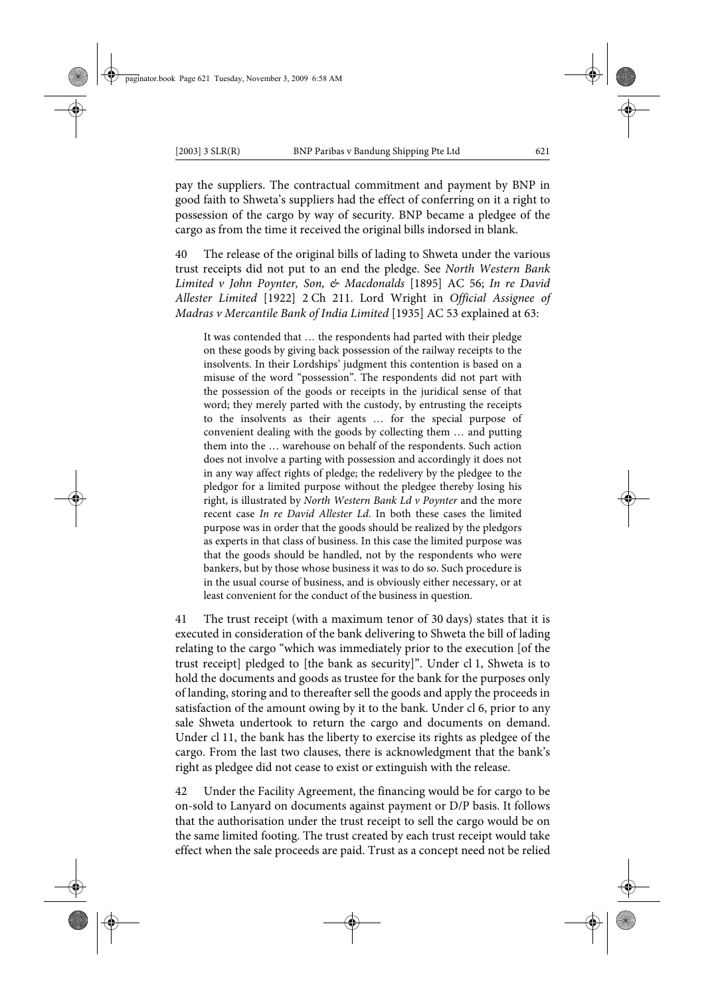pay the suppliers. The contractual commitment and payment by BNP in good faith to Shweta's suppliers had the effect of conferring on it a right to possession of the cargo by way of security. BNP became a pledgee of the cargo as from the time it received the original bills indorsed in blank.

40 The release of the original bills of lading to Shweta under the various trust receipts did not put to an end the pledge. See *North Western Bank Limited v John Poynter, Son, & Macdonalds* [1895] AC 56; *In re David Allester Limited* [1922] 2 Ch 211. Lord Wright in *Official Assignee of Madras v Mercantile Bank of India Limited* [1935] AC 53 explained at 63:

It was contended that … the respondents had parted with their pledge on these goods by giving back possession of the railway receipts to the insolvents. In their Lordships' judgment this contention is based on a misuse of the word "possession". The respondents did not part with the possession of the goods or receipts in the juridical sense of that word; they merely parted with the custody, by entrusting the receipts to the insolvents as their agents … for the special purpose of convenient dealing with the goods by collecting them … and putting them into the … warehouse on behalf of the respondents. Such action does not involve a parting with possession and accordingly it does not in any way affect rights of pledge; the redelivery by the pledgee to the pledgor for a limited purpose without the pledgee thereby losing his right, is illustrated by *North Western Bank Ld v Poynter* and the more recent case *In re David Allester Ld*. In both these cases the limited purpose was in order that the goods should be realized by the pledgors as experts in that class of business. In this case the limited purpose was that the goods should be handled, not by the respondents who were bankers, but by those whose business it was to do so. Such procedure is in the usual course of business, and is obviously either necessary, or at least convenient for the conduct of the business in question.

41 The trust receipt (with a maximum tenor of 30 days) states that it is executed in consideration of the bank delivering to Shweta the bill of lading relating to the cargo "which was immediately prior to the execution [of the trust receipt] pledged to [the bank as security]". Under cl 1, Shweta is to hold the documents and goods as trustee for the bank for the purposes only of landing, storing and to thereafter sell the goods and apply the proceeds in satisfaction of the amount owing by it to the bank. Under cl 6, prior to any sale Shweta undertook to return the cargo and documents on demand. Under cl 11, the bank has the liberty to exercise its rights as pledgee of the cargo. From the last two clauses, there is acknowledgment that the bank's right as pledgee did not cease to exist or extinguish with the release.

42 Under the Facility Agreement, the financing would be for cargo to be on-sold to Lanyard on documents against payment or D/P basis. It follows that the authorisation under the trust receipt to sell the cargo would be on the same limited footing. The trust created by each trust receipt would take effect when the sale proceeds are paid. Trust as a concept need not be relied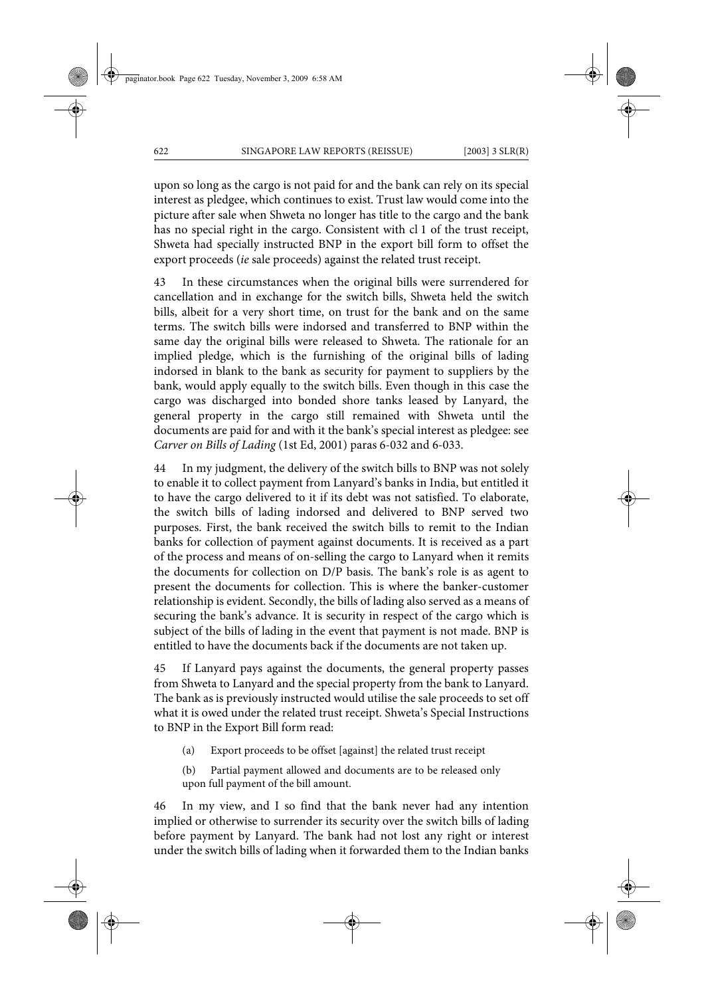upon so long as the cargo is not paid for and the bank can rely on its special interest as pledgee, which continues to exist. Trust law would come into the picture after sale when Shweta no longer has title to the cargo and the bank has no special right in the cargo. Consistent with cl 1 of the trust receipt, Shweta had specially instructed BNP in the export bill form to offset the export proceeds (*ie* sale proceeds) against the related trust receipt.

43 In these circumstances when the original bills were surrendered for cancellation and in exchange for the switch bills, Shweta held the switch bills, albeit for a very short time, on trust for the bank and on the same terms. The switch bills were indorsed and transferred to BNP within the same day the original bills were released to Shweta. The rationale for an implied pledge, which is the furnishing of the original bills of lading indorsed in blank to the bank as security for payment to suppliers by the bank, would apply equally to the switch bills. Even though in this case the cargo was discharged into bonded shore tanks leased by Lanyard, the general property in the cargo still remained with Shweta until the documents are paid for and with it the bank's special interest as pledgee: see *Carver on Bills of Lading* (1st Ed, 2001) paras 6-032 and 6-033.

44 In my judgment, the delivery of the switch bills to BNP was not solely to enable it to collect payment from Lanyard's banks in India, but entitled it to have the cargo delivered to it if its debt was not satisfied. To elaborate, the switch bills of lading indorsed and delivered to BNP served two purposes. First, the bank received the switch bills to remit to the Indian banks for collection of payment against documents. It is received as a part of the process and means of on-selling the cargo to Lanyard when it remits the documents for collection on D/P basis. The bank's role is as agent to present the documents for collection. This is where the banker-customer relationship is evident. Secondly, the bills of lading also served as a means of securing the bank's advance. It is security in respect of the cargo which is subject of the bills of lading in the event that payment is not made. BNP is entitled to have the documents back if the documents are not taken up.

45 If Lanyard pays against the documents, the general property passes from Shweta to Lanyard and the special property from the bank to Lanyard. The bank as is previously instructed would utilise the sale proceeds to set off what it is owed under the related trust receipt. Shweta's Special Instructions to BNP in the Export Bill form read:

- (a) Export proceeds to be offset [against] the related trust receipt
- (b) Partial payment allowed and documents are to be released only upon full payment of the bill amount.

46 In my view, and I so find that the bank never had any intention implied or otherwise to surrender its security over the switch bills of lading before payment by Lanyard. The bank had not lost any right or interest under the switch bills of lading when it forwarded them to the Indian banks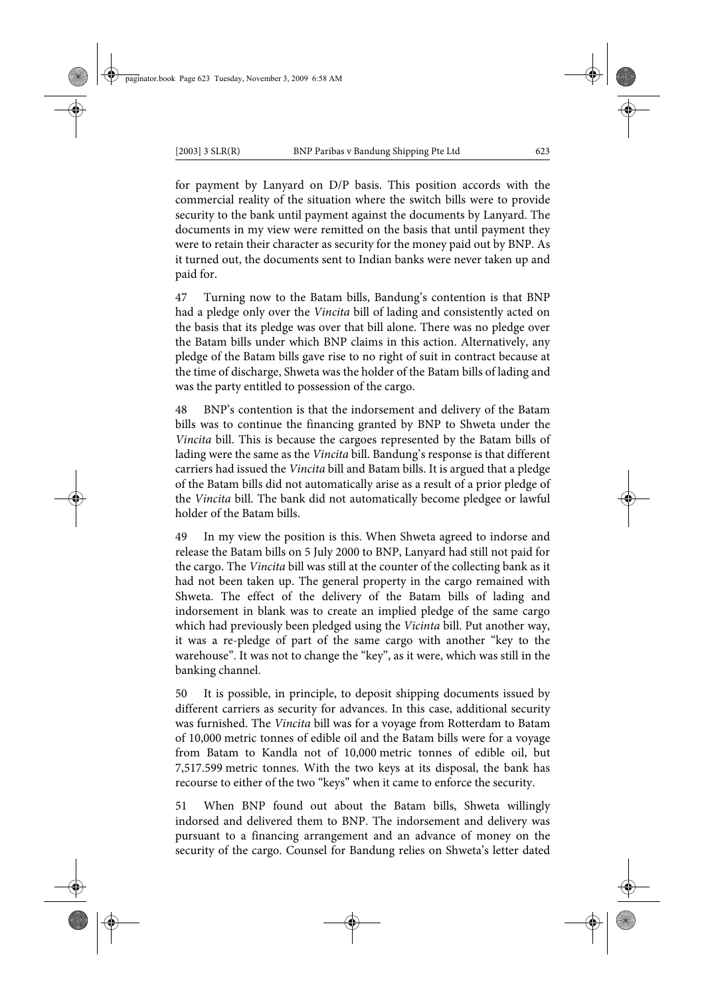for payment by Lanyard on D/P basis. This position accords with the commercial reality of the situation where the switch bills were to provide security to the bank until payment against the documents by Lanyard. The documents in my view were remitted on the basis that until payment they were to retain their character as security for the money paid out by BNP. As it turned out, the documents sent to Indian banks were never taken up and paid for.

47 Turning now to the Batam bills, Bandung's contention is that BNP had a pledge only over the *Vincita* bill of lading and consistently acted on the basis that its pledge was over that bill alone. There was no pledge over the Batam bills under which BNP claims in this action. Alternatively, any pledge of the Batam bills gave rise to no right of suit in contract because at the time of discharge, Shweta was the holder of the Batam bills of lading and was the party entitled to possession of the cargo.

48 BNP's contention is that the indorsement and delivery of the Batam bills was to continue the financing granted by BNP to Shweta under the *Vincita* bill. This is because the cargoes represented by the Batam bills of lading were the same as the *Vincita* bill. Bandung's response is that different carriers had issued the *Vincita* bill and Batam bills. It is argued that a pledge of the Batam bills did not automatically arise as a result of a prior pledge of the *Vincita* bill. The bank did not automatically become pledgee or lawful holder of the Batam bills.

49 In my view the position is this. When Shweta agreed to indorse and release the Batam bills on 5 July 2000 to BNP, Lanyard had still not paid for the cargo. The *Vincita* bill was still at the counter of the collecting bank as it had not been taken up. The general property in the cargo remained with Shweta. The effect of the delivery of the Batam bills of lading and indorsement in blank was to create an implied pledge of the same cargo which had previously been pledged using the *Vicinta* bill. Put another way, it was a re-pledge of part of the same cargo with another "key to the warehouse". It was not to change the "key", as it were, which was still in the banking channel.

50 It is possible, in principle, to deposit shipping documents issued by different carriers as security for advances. In this case, additional security was furnished. The *Vincita* bill was for a voyage from Rotterdam to Batam of 10,000 metric tonnes of edible oil and the Batam bills were for a voyage from Batam to Kandla not of 10,000 metric tonnes of edible oil, but 7,517.599 metric tonnes. With the two keys at its disposal, the bank has recourse to either of the two "keys" when it came to enforce the security.

51 When BNP found out about the Batam bills, Shweta willingly indorsed and delivered them to BNP. The indorsement and delivery was pursuant to a financing arrangement and an advance of money on the security of the cargo. Counsel for Bandung relies on Shweta's letter dated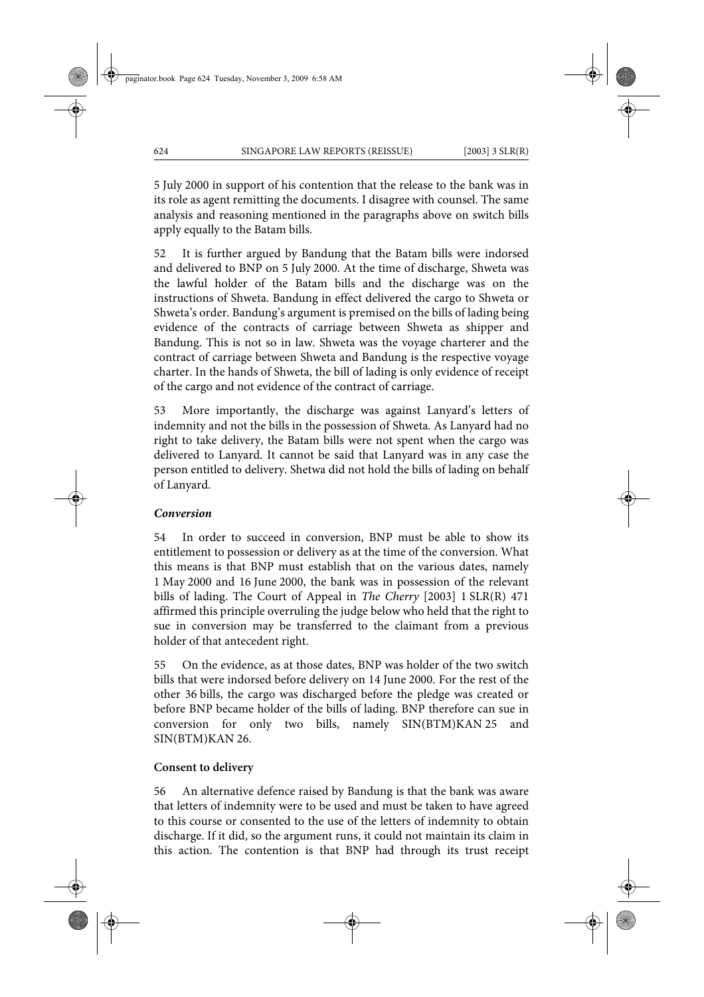5 July 2000 in support of his contention that the release to the bank was in its role as agent remitting the documents. I disagree with counsel. The same analysis and reasoning mentioned in the paragraphs above on switch bills apply equally to the Batam bills.

52 It is further argued by Bandung that the Batam bills were indorsed and delivered to BNP on 5 July 2000. At the time of discharge, Shweta was the lawful holder of the Batam bills and the discharge was on the instructions of Shweta. Bandung in effect delivered the cargo to Shweta or Shweta's order. Bandung's argument is premised on the bills of lading being evidence of the contracts of carriage between Shweta as shipper and Bandung. This is not so in law. Shweta was the voyage charterer and the contract of carriage between Shweta and Bandung is the respective voyage charter. In the hands of Shweta, the bill of lading is only evidence of receipt of the cargo and not evidence of the contract of carriage.

53 More importantly, the discharge was against Lanyard's letters of indemnity and not the bills in the possession of Shweta. As Lanyard had no right to take delivery, the Batam bills were not spent when the cargo was delivered to Lanyard. It cannot be said that Lanyard was in any case the person entitled to delivery. Shetwa did not hold the bills of lading on behalf of Lanyard.

### *Conversion*

54 In order to succeed in conversion, BNP must be able to show its entitlement to possession or delivery as at the time of the conversion. What this means is that BNP must establish that on the various dates, namely 1 May 2000 and 16 June 2000, the bank was in possession of the relevant bills of lading. The Court of Appeal in *The Cherry* [2003] 1 SLR(R) 471 affirmed this principle overruling the judge below who held that the right to sue in conversion may be transferred to the claimant from a previous holder of that antecedent right.

55 On the evidence, as at those dates, BNP was holder of the two switch bills that were indorsed before delivery on 14 June 2000. For the rest of the other 36 bills, the cargo was discharged before the pledge was created or before BNP became holder of the bills of lading. BNP therefore can sue in conversion for only two bills, namely SIN(BTM)KAN 25 and SIN(BTM)KAN 26.

### **Consent to delivery**

56 An alternative defence raised by Bandung is that the bank was aware that letters of indemnity were to be used and must be taken to have agreed to this course or consented to the use of the letters of indemnity to obtain discharge. If it did, so the argument runs, it could not maintain its claim in this action. The contention is that BNP had through its trust receipt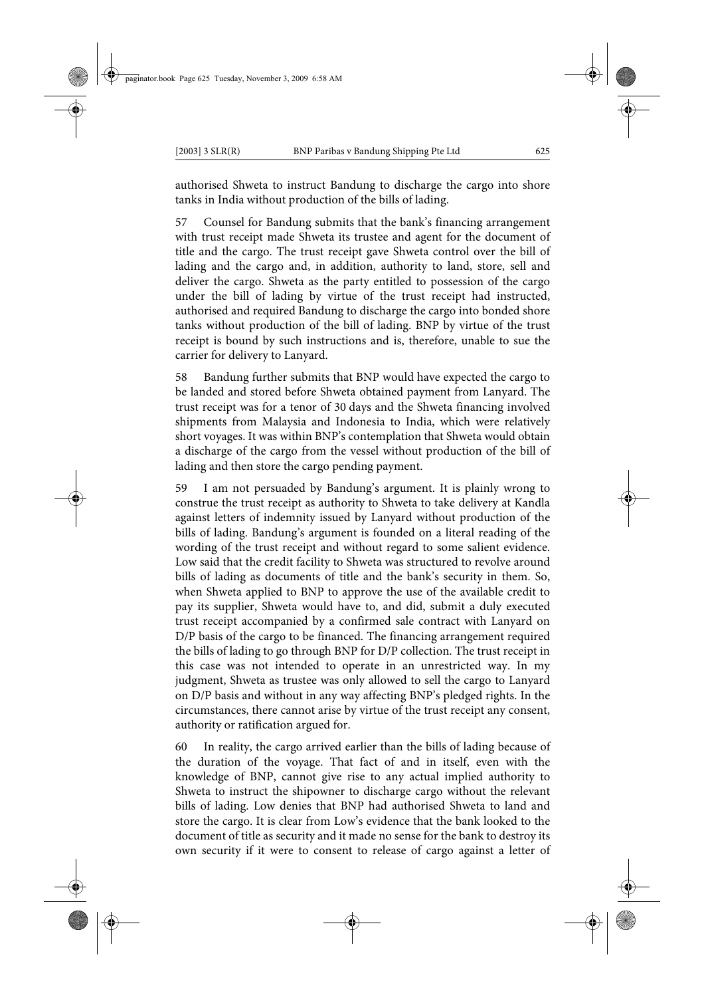authorised Shweta to instruct Bandung to discharge the cargo into shore tanks in India without production of the bills of lading.

57 Counsel for Bandung submits that the bank's financing arrangement with trust receipt made Shweta its trustee and agent for the document of title and the cargo. The trust receipt gave Shweta control over the bill of lading and the cargo and, in addition, authority to land, store, sell and deliver the cargo. Shweta as the party entitled to possession of the cargo under the bill of lading by virtue of the trust receipt had instructed, authorised and required Bandung to discharge the cargo into bonded shore tanks without production of the bill of lading. BNP by virtue of the trust receipt is bound by such instructions and is, therefore, unable to sue the carrier for delivery to Lanyard.

58 Bandung further submits that BNP would have expected the cargo to be landed and stored before Shweta obtained payment from Lanyard. The trust receipt was for a tenor of 30 days and the Shweta financing involved shipments from Malaysia and Indonesia to India, which were relatively short voyages. It was within BNP's contemplation that Shweta would obtain a discharge of the cargo from the vessel without production of the bill of lading and then store the cargo pending payment.

59 I am not persuaded by Bandung's argument. It is plainly wrong to construe the trust receipt as authority to Shweta to take delivery at Kandla against letters of indemnity issued by Lanyard without production of the bills of lading. Bandung's argument is founded on a literal reading of the wording of the trust receipt and without regard to some salient evidence. Low said that the credit facility to Shweta was structured to revolve around bills of lading as documents of title and the bank's security in them. So, when Shweta applied to BNP to approve the use of the available credit to pay its supplier, Shweta would have to, and did, submit a duly executed trust receipt accompanied by a confirmed sale contract with Lanyard on D/P basis of the cargo to be financed. The financing arrangement required the bills of lading to go through BNP for D/P collection. The trust receipt in this case was not intended to operate in an unrestricted way. In my judgment, Shweta as trustee was only allowed to sell the cargo to Lanyard on D/P basis and without in any way affecting BNP's pledged rights. In the circumstances, there cannot arise by virtue of the trust receipt any consent, authority or ratification argued for.

60 In reality, the cargo arrived earlier than the bills of lading because of the duration of the voyage. That fact of and in itself, even with the knowledge of BNP, cannot give rise to any actual implied authority to Shweta to instruct the shipowner to discharge cargo without the relevant bills of lading. Low denies that BNP had authorised Shweta to land and store the cargo. It is clear from Low's evidence that the bank looked to the document of title as security and it made no sense for the bank to destroy its own security if it were to consent to release of cargo against a letter of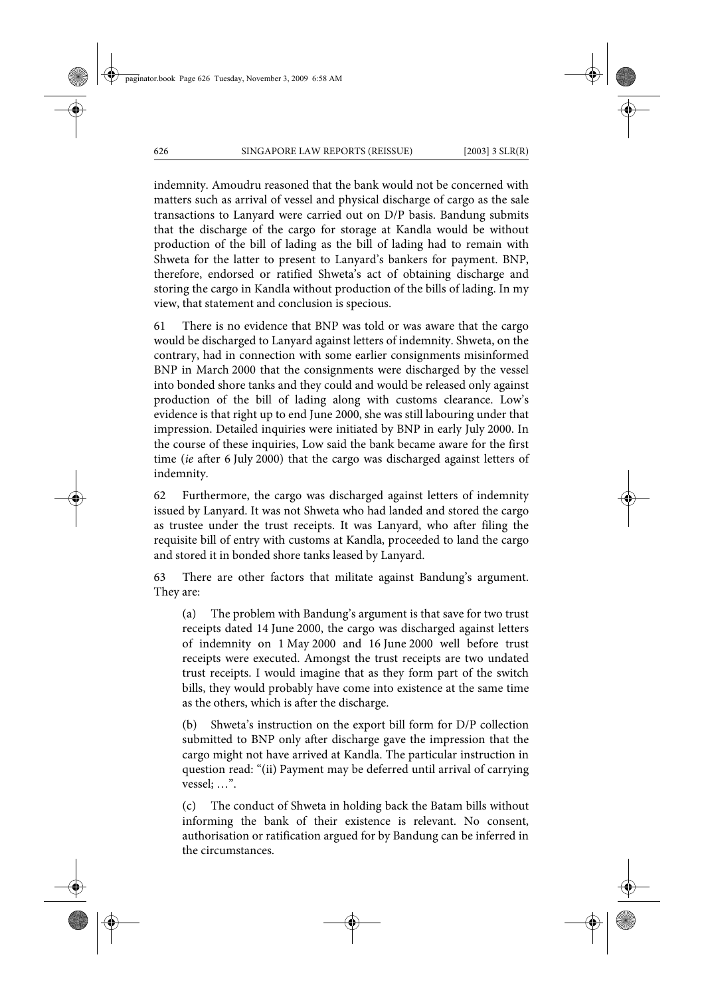indemnity. Amoudru reasoned that the bank would not be concerned with matters such as arrival of vessel and physical discharge of cargo as the sale transactions to Lanyard were carried out on D/P basis. Bandung submits that the discharge of the cargo for storage at Kandla would be without production of the bill of lading as the bill of lading had to remain with Shweta for the latter to present to Lanyard's bankers for payment. BNP, therefore, endorsed or ratified Shweta's act of obtaining discharge and storing the cargo in Kandla without production of the bills of lading. In my view, that statement and conclusion is specious.

61 There is no evidence that BNP was told or was aware that the cargo would be discharged to Lanyard against letters of indemnity. Shweta, on the contrary, had in connection with some earlier consignments misinformed BNP in March 2000 that the consignments were discharged by the vessel into bonded shore tanks and they could and would be released only against production of the bill of lading along with customs clearance. Low's evidence is that right up to end June 2000, she was still labouring under that impression. Detailed inquiries were initiated by BNP in early July 2000. In the course of these inquiries, Low said the bank became aware for the first time (*ie* after 6 July 2000) that the cargo was discharged against letters of indemnity.

62 Furthermore, the cargo was discharged against letters of indemnity issued by Lanyard. It was not Shweta who had landed and stored the cargo as trustee under the trust receipts. It was Lanyard, who after filing the requisite bill of entry with customs at Kandla, proceeded to land the cargo and stored it in bonded shore tanks leased by Lanyard.

63 There are other factors that militate against Bandung's argument. They are:

(a) The problem with Bandung's argument is that save for two trust receipts dated 14 June 2000, the cargo was discharged against letters of indemnity on 1 May 2000 and 16 June 2000 well before trust receipts were executed. Amongst the trust receipts are two undated trust receipts. I would imagine that as they form part of the switch bills, they would probably have come into existence at the same time as the others, which is after the discharge.

(b) Shweta's instruction on the export bill form for D/P collection submitted to BNP only after discharge gave the impression that the cargo might not have arrived at Kandla. The particular instruction in question read: "(ii) Payment may be deferred until arrival of carrying vessel; …".

(c) The conduct of Shweta in holding back the Batam bills without informing the bank of their existence is relevant. No consent, authorisation or ratification argued for by Bandung can be inferred in the circumstances.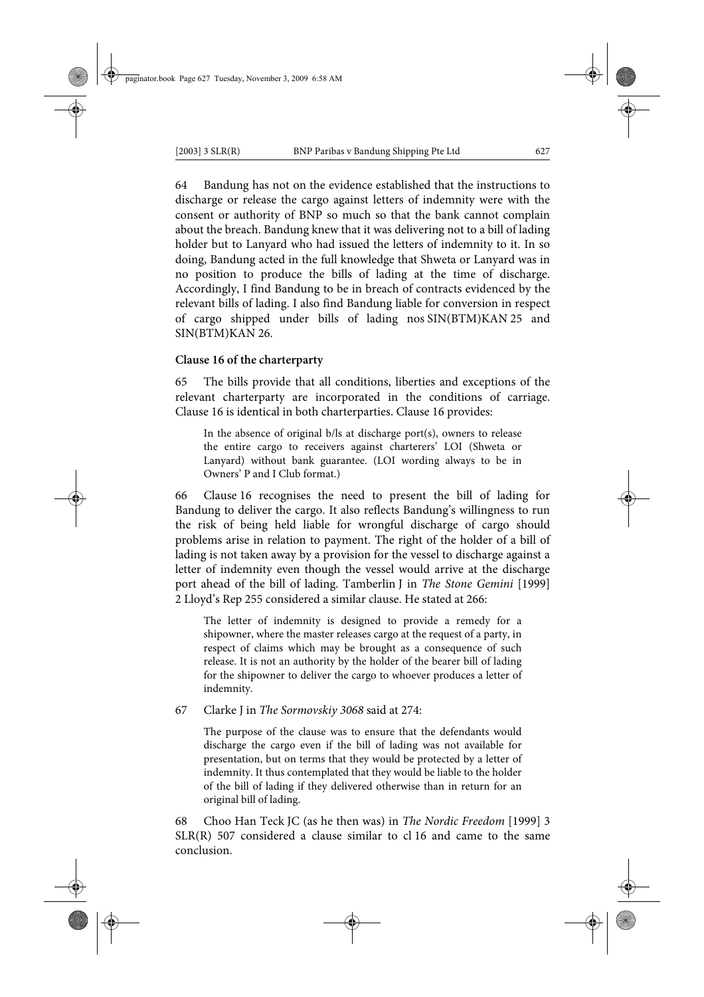64 Bandung has not on the evidence established that the instructions to discharge or release the cargo against letters of indemnity were with the consent or authority of BNP so much so that the bank cannot complain about the breach. Bandung knew that it was delivering not to a bill of lading holder but to Lanyard who had issued the letters of indemnity to it. In so doing, Bandung acted in the full knowledge that Shweta or Lanyard was in no position to produce the bills of lading at the time of discharge. Accordingly, I find Bandung to be in breach of contracts evidenced by the relevant bills of lading. I also find Bandung liable for conversion in respect of cargo shipped under bills of lading nos SIN(BTM)KAN 25 and SIN(BTM)KAN 26.

### **Clause 16 of the charterparty**

65 The bills provide that all conditions, liberties and exceptions of the relevant charterparty are incorporated in the conditions of carriage. Clause 16 is identical in both charterparties. Clause 16 provides:

In the absence of original b/ls at discharge port(s), owners to release the entire cargo to receivers against charterers' LOI (Shweta or Lanyard) without bank guarantee. (LOI wording always to be in Owners' P and I Club format.)

66 Clause 16 recognises the need to present the bill of lading for Bandung to deliver the cargo. It also reflects Bandung's willingness to run the risk of being held liable for wrongful discharge of cargo should problems arise in relation to payment. The right of the holder of a bill of lading is not taken away by a provision for the vessel to discharge against a letter of indemnity even though the vessel would arrive at the discharge port ahead of the bill of lading. Tamberlin J in *The Stone Gemini* [1999] 2 Lloyd's Rep 255 considered a similar clause. He stated at 266:

The letter of indemnity is designed to provide a remedy for a shipowner, where the master releases cargo at the request of a party, in respect of claims which may be brought as a consequence of such release. It is not an authority by the holder of the bearer bill of lading for the shipowner to deliver the cargo to whoever produces a letter of indemnity.

67 Clarke J in *The Sormovskiy 3068* said at 274:

The purpose of the clause was to ensure that the defendants would discharge the cargo even if the bill of lading was not available for presentation, but on terms that they would be protected by a letter of indemnity. It thus contemplated that they would be liable to the holder of the bill of lading if they delivered otherwise than in return for an original bill of lading.

68 Choo Han Teck JC (as he then was) in *The Nordic Freedom* [1999] 3 SLR(R) 507 considered a clause similar to cl 16 and came to the same conclusion.